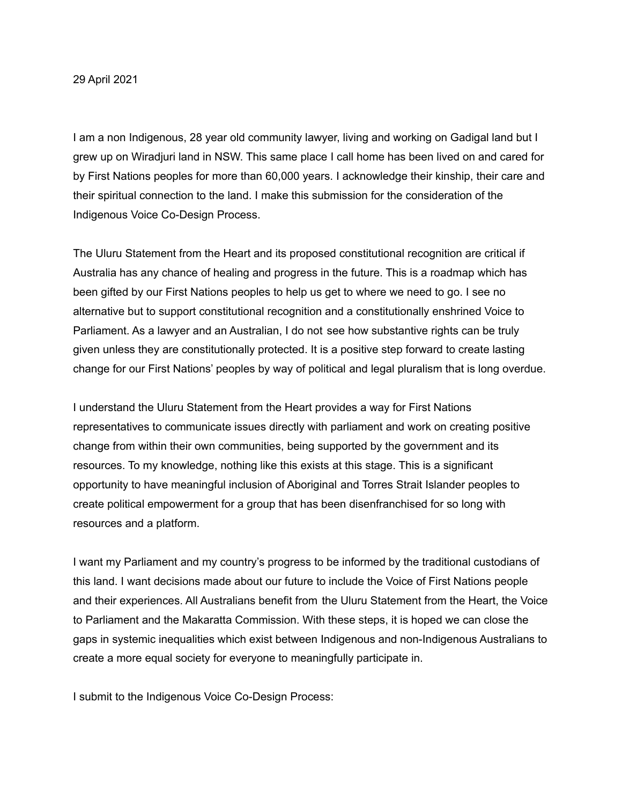29 April 2021

I am a non Indigenous, 28 year old community lawyer, living and working on Gadigal land but I grew up on Wiradjuri land in NSW. This same place I call home has been lived on and cared for by First Nations peoples for more than 60,000 years. I acknowledge their kinship, their care and their spiritual connection to the land. I make this submission for the consideration of the Indigenous Voice Co-Design Process.

The Uluru Statement from the Heart and its proposed constitutional recognition are critical if Australia has any chance of healing and progress in the future. This is a roadmap which has been gifted by our First Nations peoples to help us get to where we need to go. I see no alternative but to support constitutional recognition and a constitutionally enshrined Voice to Parliament. As a lawyer and an Australian, I do not see how substantive rights can be truly given unless they are constitutionally protected. It is a positive step forward to create lasting change for our First Nations' peoples by way of political and legal pluralism that is long overdue.

I understand the Uluru Statement from the Heart provides a way for First Nations representatives to communicate issues directly with parliament and work on creating positive change from within their own communities, being supported by the government and its resources. To my knowledge, nothing like this exists at this stage. This is a significant opportunity to have meaningful inclusion of Aboriginal and Torres Strait Islander peoples to create political empowerment for a group that has been disenfranchised for so long with resources and a platform.

I want my Parliament and my country's progress to be informed by the traditional custodians of this land. I want decisions made about our future to include the Voice of First Nations people and their experiences. All Australians benefit from the Uluru Statement from the Heart, the Voice to Parliament and the Makaratta Commission. With these steps, it is hoped we can close the gaps in systemic inequalities which exist between Indigenous and non-Indigenous Australians to create a more equal society for everyone to meaningfully participate in.

I submit to the Indigenous Voice Co-Design Process: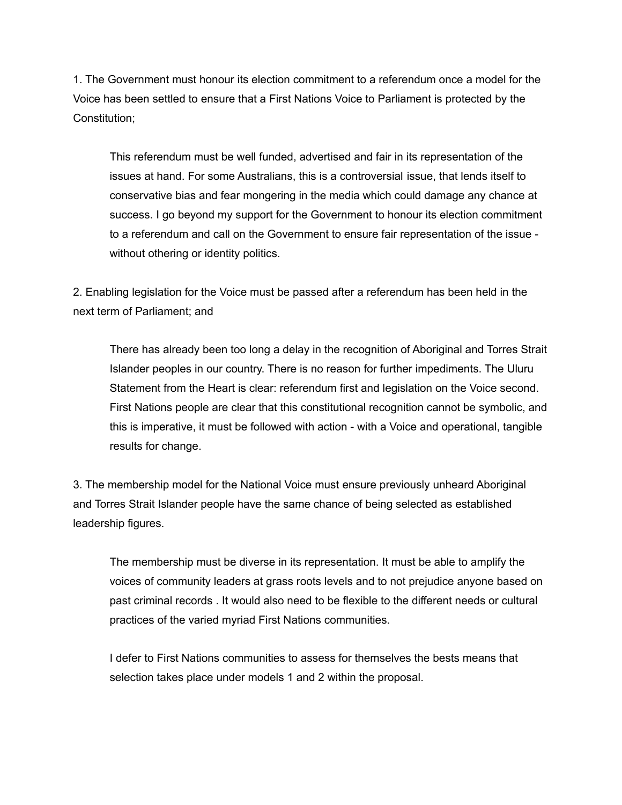1. The Government must honour its election commitment to a referendum once a model for the Voice has been settled to ensure that a First Nations Voice to Parliament is protected by the Constitution;

This referendum must be well funded, advertised and fair in its representation of the issues at hand. For some Australians, this is a controversial issue, that lends itself to conservative bias and fear mongering in the media which could damage any chance at success. I go beyond my support for the Government to honour its election commitment to a referendum and call on the Government to ensure fair representation of the issue without othering or identity politics.

2. Enabling legislation for the Voice must be passed after a referendum has been held in the next term of Parliament; and

There has already been too long a delay in the recognition of Aboriginal and Torres Strait Islander peoples in our country. There is no reason for further impediments. The Uluru Statement from the Heart is clear: referendum first and legislation on the Voice second. First Nations people are clear that this constitutional recognition cannot be symbolic, and this is imperative, it must be followed with action - with a Voice and operational, tangible results for change.

3. The membership model for the National Voice must ensure previously unheard Aboriginal and Torres Strait Islander people have the same chance of being selected as established leadership figures.

The membership must be diverse in its representation. It must be able to amplify the voices of community leaders at grass roots levels and to not prejudice anyone based on past criminal records . It would also need to be flexible to the different needs or cultural practices of the varied myriad First Nations communities.

I defer to First Nations communities to assess for themselves the bests means that selection takes place under models 1 and 2 within the proposal.